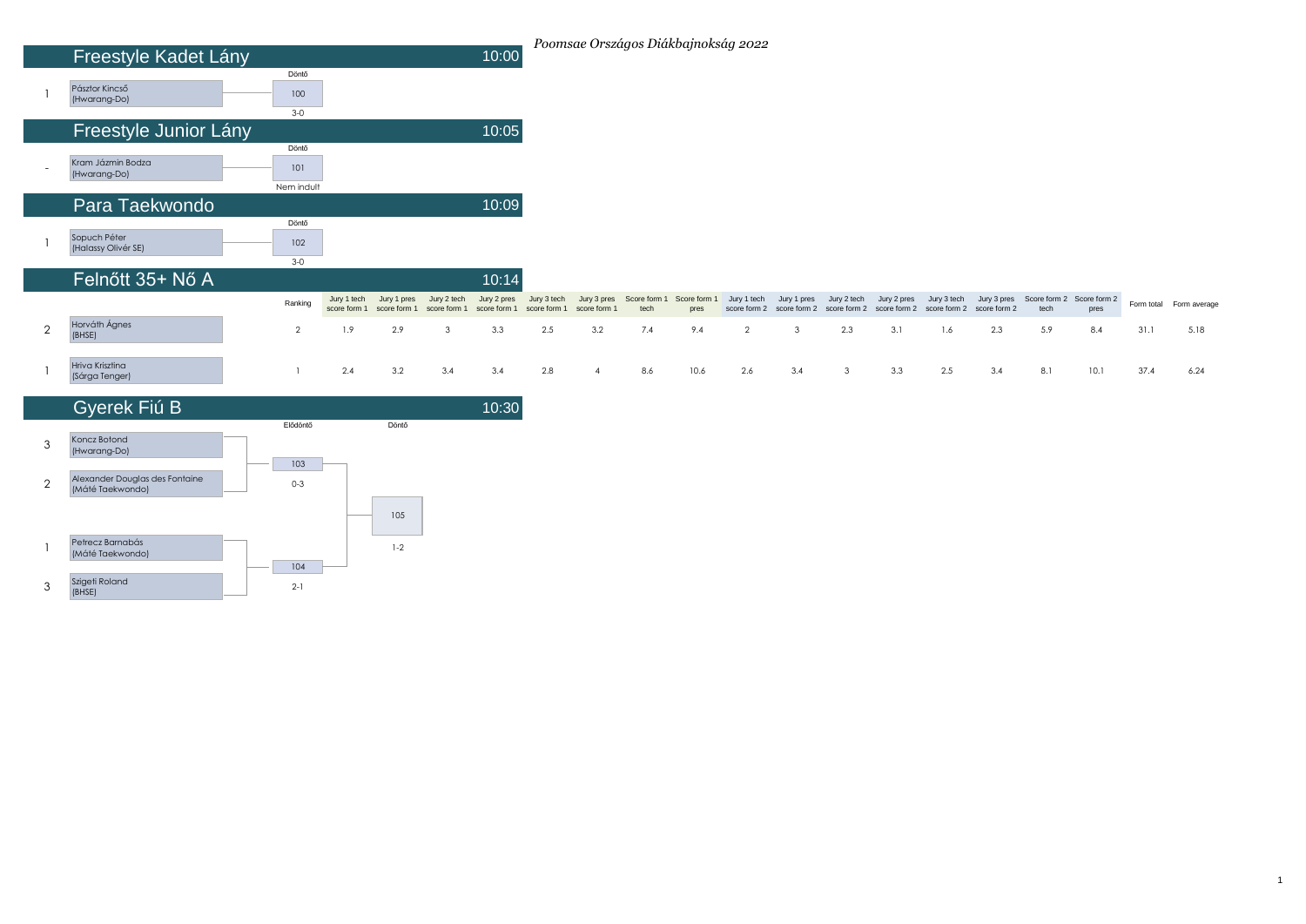|                | Freestyle Kadet Lány                |                            |                             |                             |                             | 10:00                       |                             |                             |                      | Poomsae Országos Diákbajnokság 2022 |             |                                          |              |                                          |                             |                             |      |                                   |      |                         |
|----------------|-------------------------------------|----------------------------|-----------------------------|-----------------------------|-----------------------------|-----------------------------|-----------------------------|-----------------------------|----------------------|-------------------------------------|-------------|------------------------------------------|--------------|------------------------------------------|-----------------------------|-----------------------------|------|-----------------------------------|------|-------------------------|
|                | Pásztor Kincső<br>(Hwarang-Do)      | Döntő<br>100<br>$3-0$      |                             |                             |                             |                             |                             |                             |                      |                                     |             |                                          |              |                                          |                             |                             |      |                                   |      |                         |
|                | Freestyle Junior Lány               |                            |                             |                             |                             | 10:05                       |                             |                             |                      |                                     |             |                                          |              |                                          |                             |                             |      |                                   |      |                         |
|                | Kram Jázmin Bodza<br>(Hwarang-Do)   | Döntő<br>101<br>Nem indult |                             |                             |                             |                             |                             |                             |                      |                                     |             |                                          |              |                                          |                             |                             |      |                                   |      |                         |
|                | Para Taekwondo                      |                            |                             |                             |                             | 10:09                       |                             |                             |                      |                                     |             |                                          |              |                                          |                             |                             |      |                                   |      |                         |
|                | Sopuch Péter<br>(Halassy Olivér SE) | Döntő<br>102<br>$3-0$      |                             |                             |                             |                             |                             |                             |                      |                                     |             |                                          |              |                                          |                             |                             |      |                                   |      |                         |
|                | Felnőtt 35+ Nő A                    |                            |                             |                             |                             | 10:14                       |                             |                             |                      |                                     |             |                                          |              |                                          |                             |                             |      |                                   |      |                         |
|                |                                     | Ranking                    | Jury 1 tech<br>score form 1 | Jury 1 pres<br>score form 1 | Jury 2 tech<br>score form 1 | Jury 2 pres<br>score form 1 | Jury 3 tech<br>score form 1 | Jury 3 pres<br>score form 1 | Score form 1<br>tech | Score form<br>pres                  | Jury 1 tech | Jury 1 pres<br>score form 2 score form 2 | Jury 2 tech  | Jury 2 pres<br>score form 2 score form 2 | Jury 3 tech<br>score form 2 | Jury 3 pres<br>score form 2 | tech | Score form 2 Score form 2<br>pres |      | Form total Form average |
| $\overline{2}$ | Horváth Ágnes<br>(BHSE)             | $\overline{2}$             | 1.9                         | 2.9                         | 3                           | 3.3                         | 2.5                         | 3.2                         | 7.4                  | 9.4                                 | 2           | 3                                        | 2.3          | 3.1                                      | 1.6                         | 2.3                         | 5.9  | 8.4                               | 31.1 | 5.18                    |
|                | Hriva Krisztina<br>(Sárga Tenger)   |                            | 2.4                         | 3.2                         | 3.4                         | 3.4                         | 2.8                         | $\overline{4}$              | 8.6                  | 10.6                                | 2.6         | 3.4                                      | $\mathbf{3}$ | 3.3                                      | 2.5                         | 3.4                         | 8.1  | 10.1                              | 37.4 | 6.24                    |

1

|                | Gyerek Fiú B                                       |          |         | 10:30 |
|----------------|----------------------------------------------------|----------|---------|-------|
|                |                                                    | Elődöntő | Döntő   |       |
| 3              | Koncz Botond<br>(Hwarang-Do)                       |          |         |       |
|                |                                                    | 103      |         |       |
| $\overline{2}$ | Alexander Douglas des Fontaine<br>(Máté Taekwondo) | $0 - 3$  |         |       |
|                |                                                    |          | 105     |       |
|                | Petrecz Barnabás<br>(Máté Taekwondo)               |          | $1 - 2$ |       |
|                |                                                    | 104      |         |       |
| 3              | Szigeti Roland<br>(BHSE)                           | $2 - 1$  |         |       |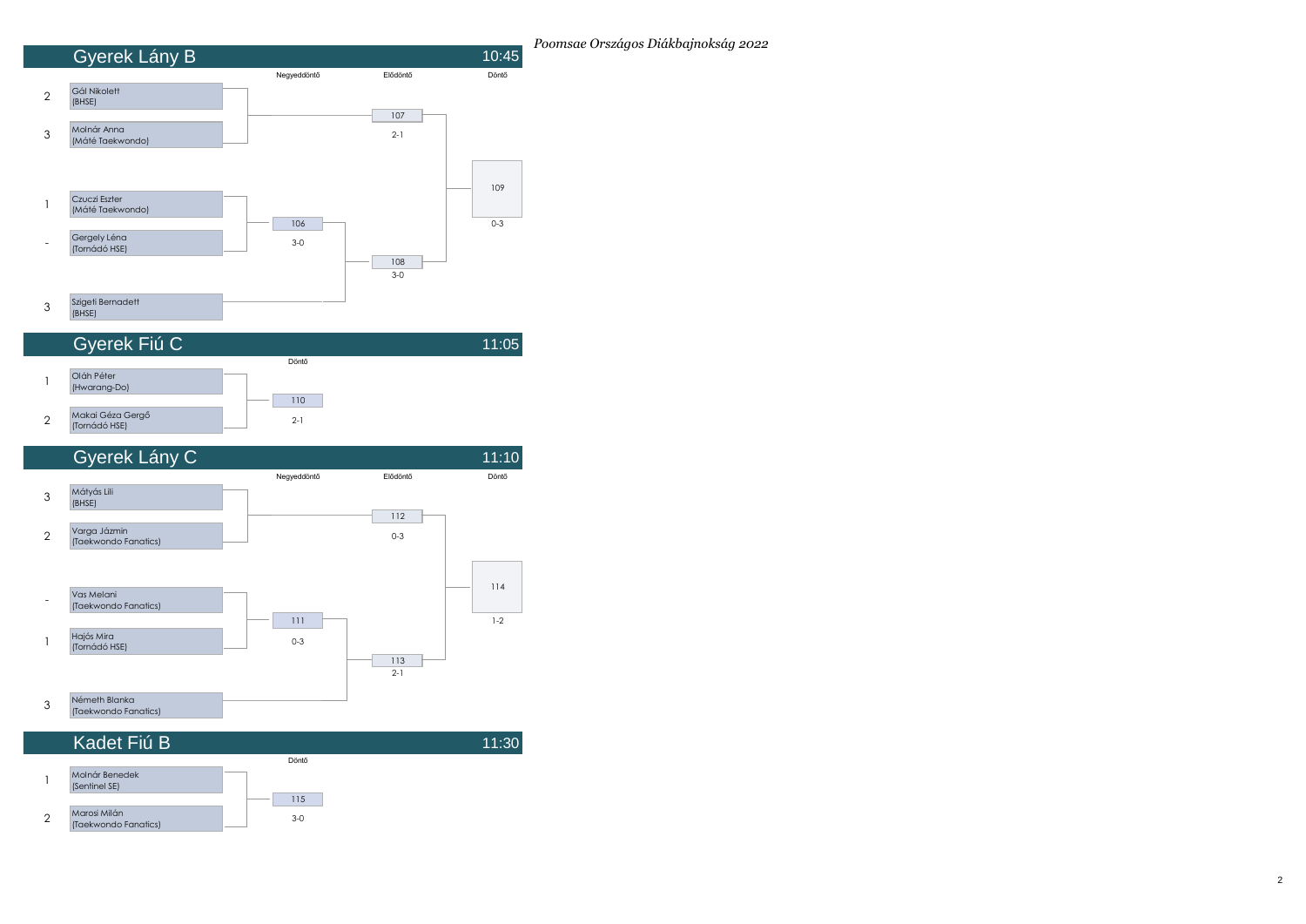





| Kadet Fiú B <sup>i</sup>             |       | 11:30 |
|--------------------------------------|-------|-------|
|                                      | Döntő |       |
| Molnár Benedek<br>(Sentinel SE)      |       |       |
|                                      | 115   |       |
| Marosi Milán<br>(Taekwondo Fanatics) | $3-0$ |       |

*Poomsae Országos Diákbajnokság 2022*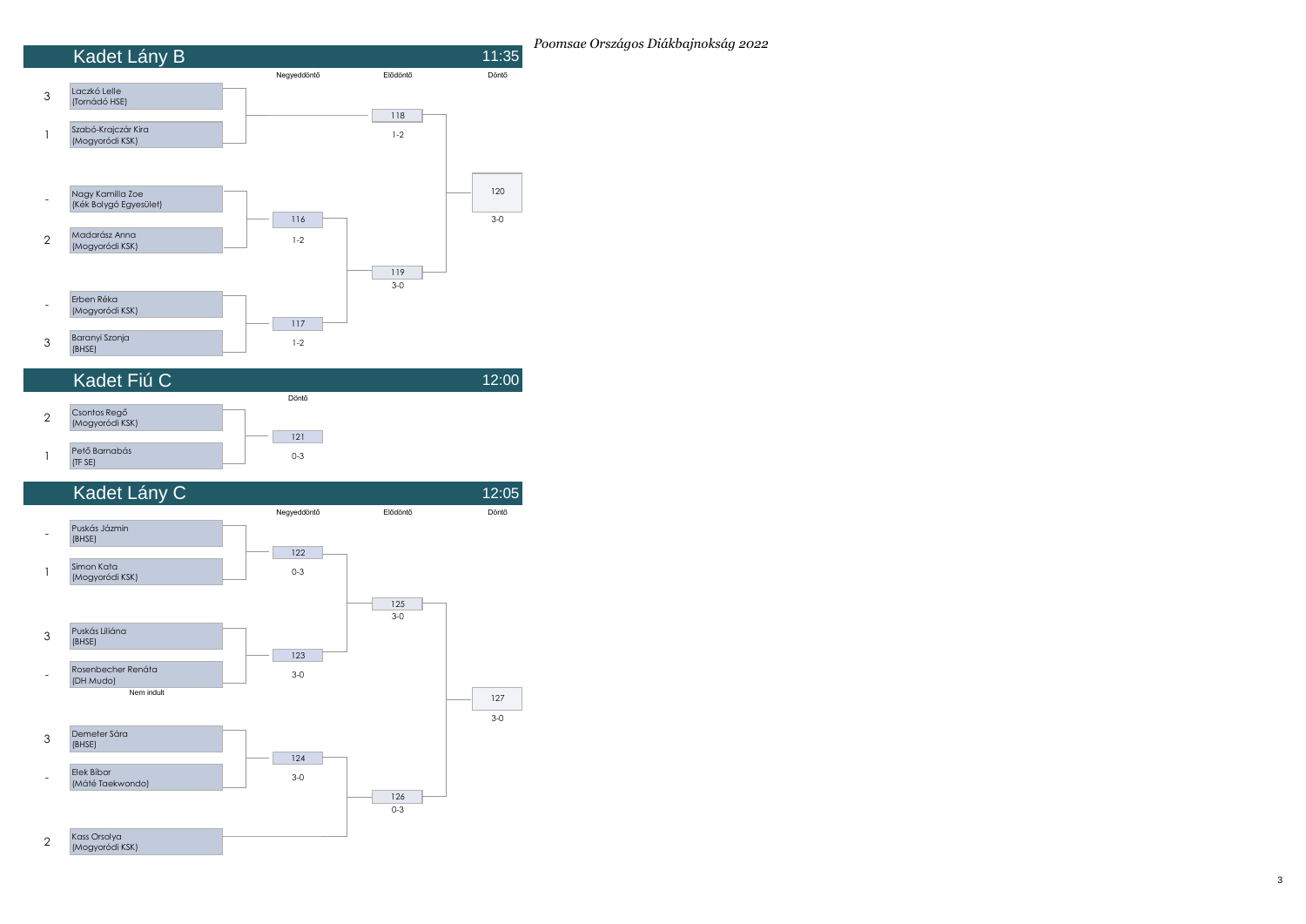





*Poomsae Országos Diákbajnokság 2022*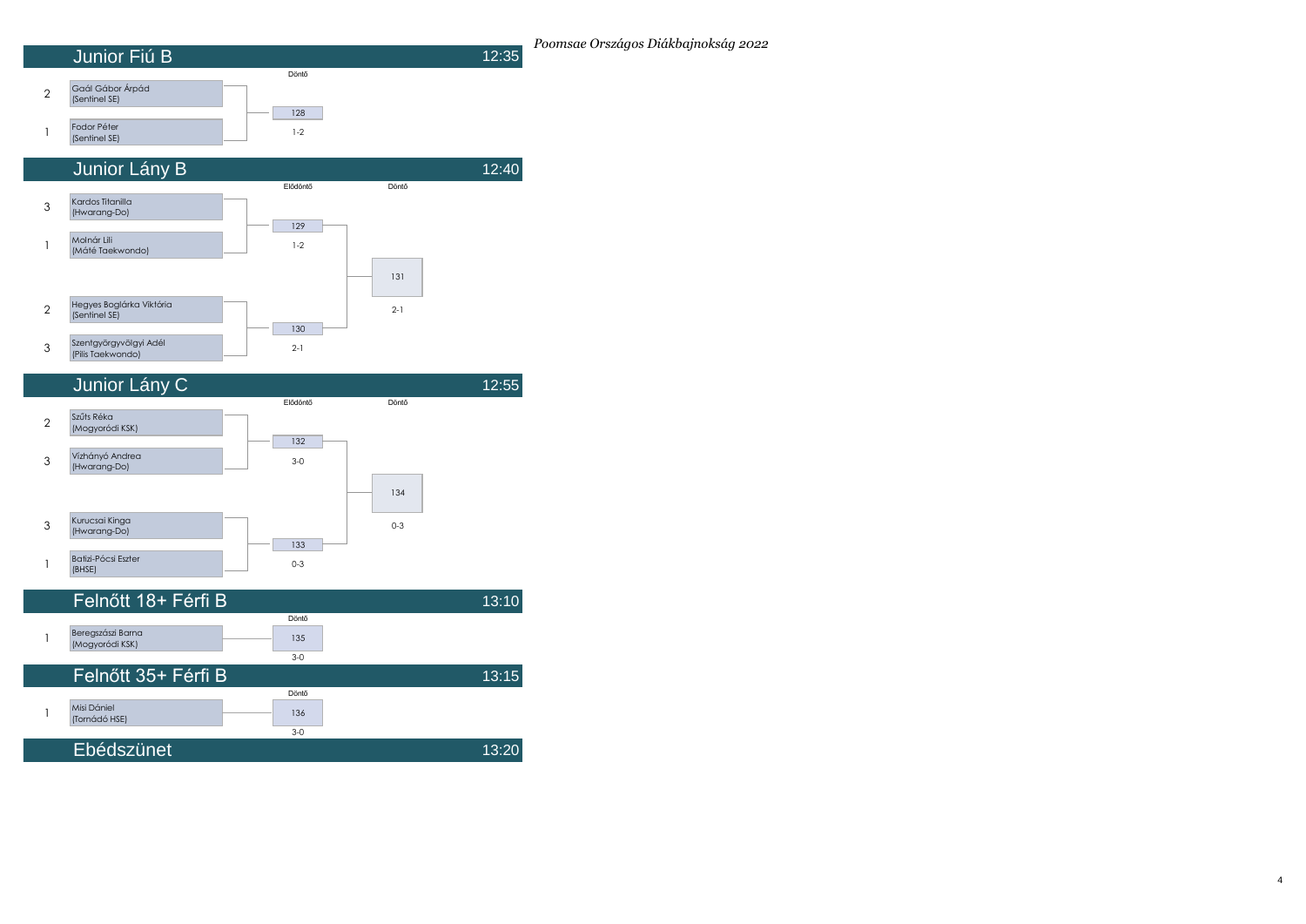





| Felnőtt 18+ Férfi B                  |       | 13:10 |
|--------------------------------------|-------|-------|
|                                      | Döntő |       |
| Beregszászi Barna<br>(Mogyoródi KSK) | 135   |       |
|                                      | $3-0$ |       |
| Felnőtt 35+ Férfi B                  |       | 13:15 |
|                                      | Döntő |       |
| Misi Dániel<br>(Tornádó HSE)         | 136   |       |
|                                      | $3-0$ |       |
| Ebédszünet                           |       | 13:20 |

4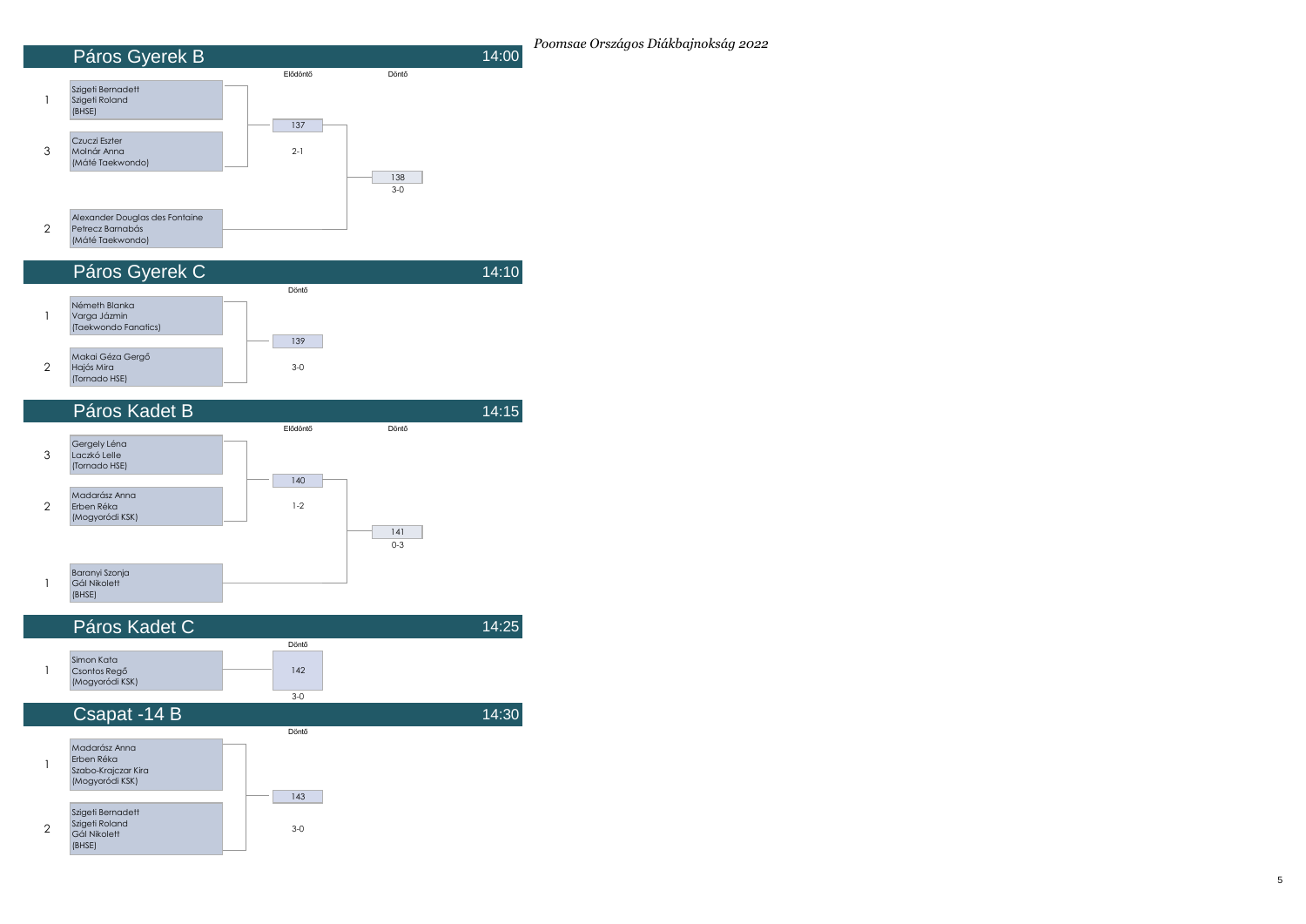







*Poomsae Országos Diákbajnokság 2022*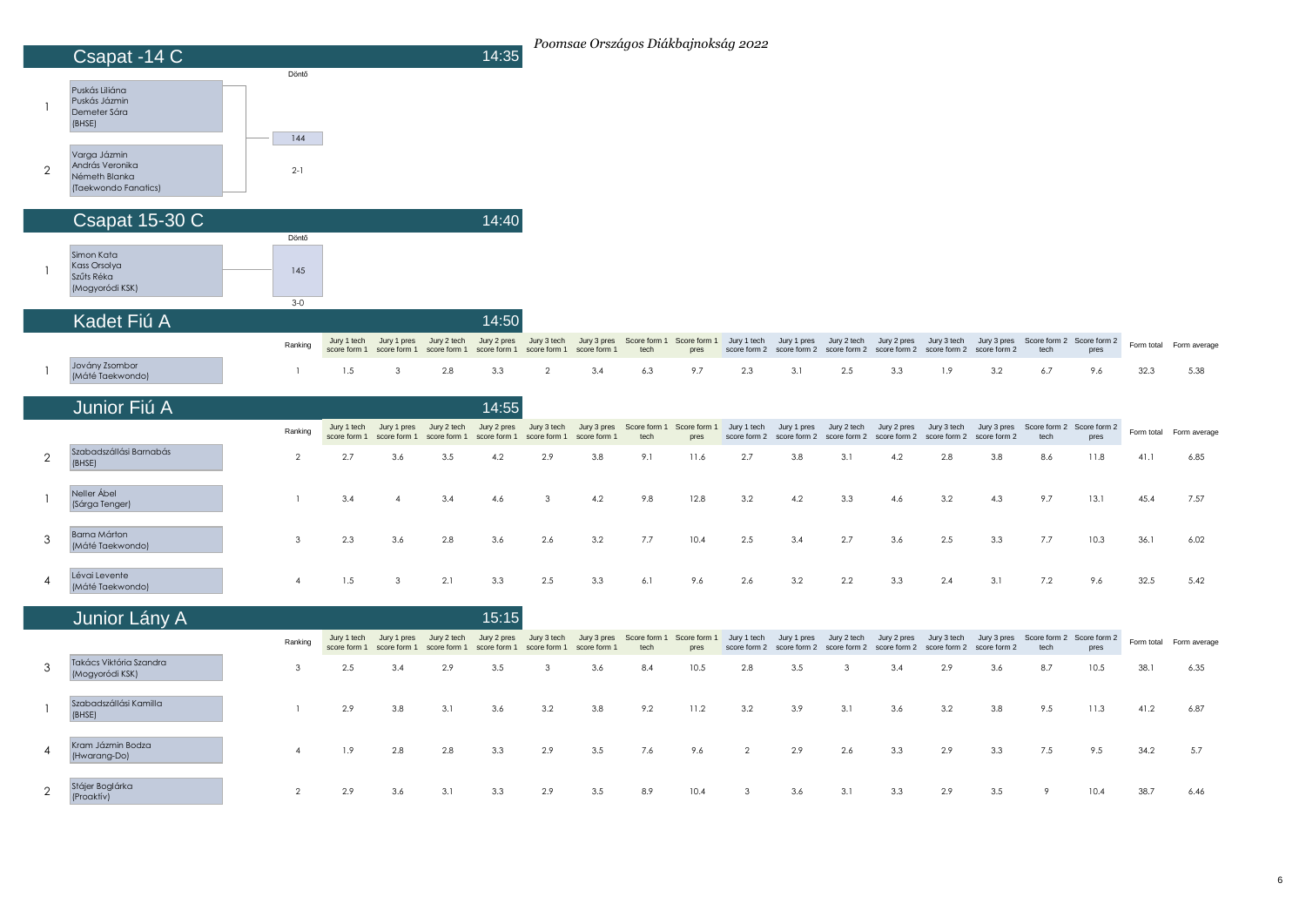|                | Csapat -14 C                                                             |                       |                             |                             |                             | 14:35                       |                             |                             |                      | Poomsae Országos Diákbajnokság 2022                                   |                             |                             |                                          |                             |                             |                             |                                               |                                   |            |              |
|----------------|--------------------------------------------------------------------------|-----------------------|-----------------------------|-----------------------------|-----------------------------|-----------------------------|-----------------------------|-----------------------------|----------------------|-----------------------------------------------------------------------|-----------------------------|-----------------------------|------------------------------------------|-----------------------------|-----------------------------|-----------------------------|-----------------------------------------------|-----------------------------------|------------|--------------|
|                | Puskás Liliána<br>Puskás Jázmin<br>Demeter Sára<br>(BHSE)                | Döntő                 |                             |                             |                             |                             |                             |                             |                      |                                                                       |                             |                             |                                          |                             |                             |                             |                                               |                                   |            |              |
| $\overline{2}$ | Varga Jázmin<br>András Veronika<br>Németh Blanka<br>(Taekwondo Fanatics) | 144<br>$2-1$          |                             |                             |                             |                             |                             |                             |                      |                                                                       |                             |                             |                                          |                             |                             |                             |                                               |                                   |            |              |
|                | Csapat 15-30 C                                                           |                       |                             |                             |                             | 14:40                       |                             |                             |                      |                                                                       |                             |                             |                                          |                             |                             |                             |                                               |                                   |            |              |
| -1             | Simon Kata<br>Kass Orsolya<br>Szűts Réka<br>(Mogyoródi KSK)              | Döntő<br>145<br>$3-0$ |                             |                             |                             |                             |                             |                             |                      |                                                                       |                             |                             |                                          |                             |                             |                             |                                               |                                   |            |              |
|                | Kadet Fiú A                                                              |                       |                             |                             |                             | 14:50                       |                             |                             |                      |                                                                       |                             |                             |                                          |                             |                             |                             |                                               |                                   |            |              |
|                |                                                                          | Ranking               | Jury 1 tech<br>score form 1 | Jury 1 pres<br>score form 1 | Jury 2 tech<br>score form 1 | Jury 2 pres<br>score form 1 | Jury 3 tech<br>score form 1 | score form 1                | tech                 | Jury 3 pres Score form 1 Score form 1 Jury 1 tech Jury 1 pres<br>pres | score form 2                | score form 2                | Jury 2 tech<br>score form 2              | Jury 2 pres<br>score form 2 | Jury 3 tech<br>score form 2 | score form 2                | Jury 3 pres Score form 2 Score form 2<br>tech | pres                              | Form total | Form average |
| -1             | Jovány Zsombor<br>(Máté Taekwondo)                                       | $\overline{1}$        | 1.5                         | 3                           | 2.8                         | 3.3                         | $\overline{2}$              | 3.4                         | 6.3                  | 9.7                                                                   | 2.3                         | 3.1                         | 2.5                                      | 3.3                         | 1.9                         | 3.2                         | 6.7                                           | 9.6                               | 32.3       | 5.38         |
|                | Junior Fiú A                                                             |                       |                             |                             |                             | 14:55                       |                             |                             |                      |                                                                       |                             |                             |                                          |                             |                             |                             |                                               |                                   |            |              |
|                |                                                                          | Ranking               | Jury 1 tech<br>score form 1 | Jury 1 pres<br>score form 1 | Jury 2 tech<br>score form 1 | Jury 2 pres<br>score form 1 | Jury 3 tech<br>score form 1 | Jury 3 pres<br>score form 1 | Score form 1<br>tech | Score form 1<br>pres                                                  | Jury 1 tech<br>score form 2 | Jury 1 pres<br>score form 2 | Jury 2 tech<br>score form 2              | Jury 2 pres<br>score form 2 | Jury 3 tech<br>score form 2 | Jury 3 pres<br>score form 2 | tech                                          | Score form 2 Score form 2<br>pres | Form total | Form average |
| $\overline{2}$ | Szabadszállási Barnabás<br>(BHSE)                                        | $\overline{2}$        | 2.7                         | 3.6                         | 3.5                         | 4.2                         | 2.9                         | 3.8                         | 9.1                  | 11.6                                                                  | 2.7                         | 3.8                         | 3.1                                      | 4.2                         | 2.8                         | 3.8                         | 8.6                                           | 11.8                              | 41.1       | 6.85         |
| $\overline{1}$ | Neller Ábel<br>(Sárga Tenger)                                            | $\mathbf{1}$          | 3.4                         | $\overline{4}$              | 3.4                         | 4.6                         | $\mathbf{3}$                | 4.2                         | 9.8                  | 12.8                                                                  | 3.2                         | 4.2                         | 3.3                                      | 4.6                         | 3.2                         | 4.3                         | 9.7                                           | 13.1                              | 45.4       | 7.57         |
| 3              | Barna Márton<br>(Máté Taekwondo)                                         | 3                     | 2.3                         | 3.6                         | 2.8                         | 3.6                         | 2.6                         | 3.2                         | 7.7                  | 10.4                                                                  | 2.5                         | 3.4                         | 2.7                                      | 3.6                         | 2.5                         | 3.3                         | 7.7                                           | 10.3                              | 36.1       | 6.02         |
| 4              | Lévai Levente<br>(Máté Taekwondo)                                        | $\overline{4}$        | 1.5                         | 3                           | 2.1                         | 3.3                         | 2.5                         | 3.3                         | 6.1                  | 9.6                                                                   | 2.6                         | 3.2                         | 2.2                                      | 3.3                         | 2.4                         | 3.1                         | 7.2                                           | 9.6                               | 32.5       | 5.42         |
|                | Junior Lány A                                                            |                       |                             |                             |                             | 15:15                       |                             |                             |                      |                                                                       |                             |                             |                                          |                             |                             |                             |                                               |                                   |            |              |
|                |                                                                          | Ranking               | Jury 1 tech<br>score form 1 | Jury 1 pres<br>score form 1 | Jury 2 tech<br>score form 1 | Jury 2 pres<br>score form 1 | Jury 3 tech<br>score form 1 | score form 1                | tech                 | Jury 3 pres Score form 1 Score form 1 Jury 1 tech Jury 1 pres<br>pres | score form 2                |                             | Jury 2 tech<br>score form 2 score form 2 | Jury 2 pres<br>score form 2 | Jury 3 tech<br>score form 2 | Jury 3 pres<br>score form 2 | tech                                          | Score form 2 Score form 2<br>pres | Form total | Form average |
| 3              | Takács Viktória Szandra<br>(Mogyoródi KSK)                               | $\mathbf{3}$          | 2.5                         | 3.4                         | 2.9                         | 3.5                         | 3                           | 3.6                         | 8.4                  | 10.5                                                                  | 2.8                         | 3.5                         | 3                                        | 3.4                         | 2.9                         | 3.6                         | 8.7                                           | 10.5                              | 38.1       | 6.35         |
|                | Szabadszállási Kamilla<br>(BHSE)                                         | $\mathbf{1}$          | 2.9                         | 3.8                         | 3.1                         | 3.6                         | 3.2                         | 3.8                         | 9.2                  | 11.2                                                                  | 3.2                         | 3.9                         | 3.1                                      | 3.6                         | 3.2                         | 3.8                         | 9.5                                           | 11.3                              | 41.2       | 6.87         |

الماء المساحد المساحد المساحد المساحد المساحد المساحد المساحد المساحد المساحد المساحد المساحد المساحد المساحد ال<br>المساحد المساحد المساحد المساحد المساحد المساحد المساحد المساحد المساحد المساحد المساحد المساحد المساحد المس

2 Stájer Boglárka<br>(Proaktív) المادة المستحدة المستحدة المستحدة المستحدة المستحدة المستحدة المستحدة المستحدة المستحدة المستحدة المستحدة المس<br>المستحدة المستحدة المستحدة المستحدة المستحدة المستحدة المستحدة المستحدة المستحدة المستحدة المستحدة المستحدة ال

Kram Jázmin Bodza<br>(Hwarang-Do)

4